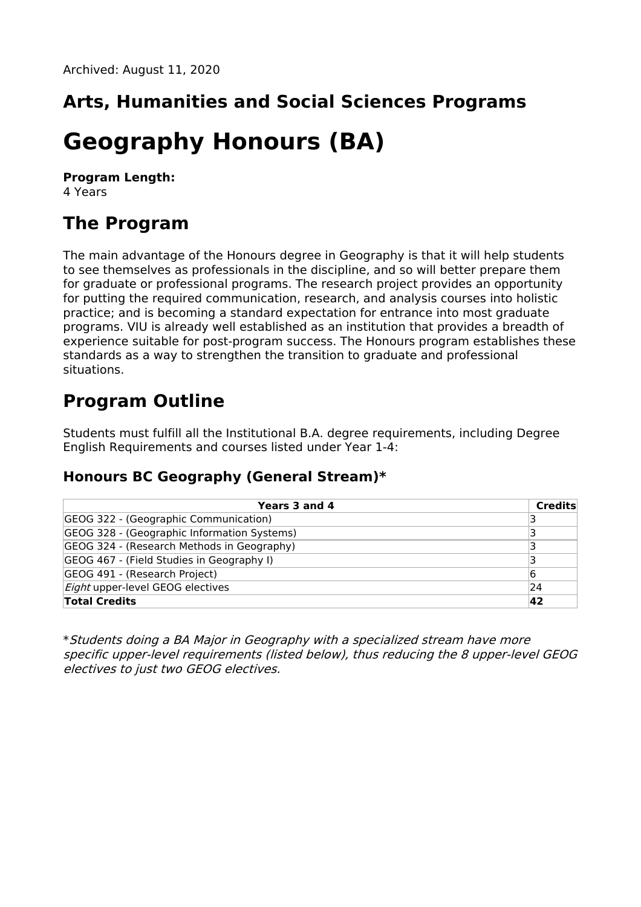## **Arts, Humanities and Social Sciences Programs**

# **Geography Honours (BA)**

**Program Length:** 4 Years

### **The Program**

The main advantage of the Honours degree in Geography is that it will help students to see themselves as professionals in the discipline, and so will better prepare them for graduate or professional programs. The research project provides an opportunity for putting the required communication, research, and analysis courses into holistic practice; and is becoming a standard expectation for entrance into most graduate programs. VIU is already well established as an institution that provides a breadth of experience suitable for post-program success. The Honours program establishes these standards as a way to strengthen the transition to graduate and professional situations.

### **Program Outline**

Students must fulfill all the Institutional B.A. degree requirements, including Degree English Requirements and courses listed under Year 1-4:

#### **Honours BC Geography (General Stream)\***

| Years 3 and 4                               | <b>Credits</b> |
|---------------------------------------------|----------------|
| GEOG 322 - (Geographic Communication)       |                |
| GEOG 328 - (Geographic Information Systems) |                |
| GEOG 324 - (Research Methods in Geography)  |                |
| GEOG 467 - (Field Studies in Geography I)   |                |
| GEOG 491 - (Research Project)               | 16             |
| <i>Eight</i> upper-level GEOG electives     | 24             |
| <b>Total Credits</b>                        | 42             |

\*Students doing <sup>a</sup> BA Major in Geography with <sup>a</sup> specialized stream have more specific upper-level requirements (listed below), thus reducing the 8 upper-level GEOG electives to just two GEOG electives.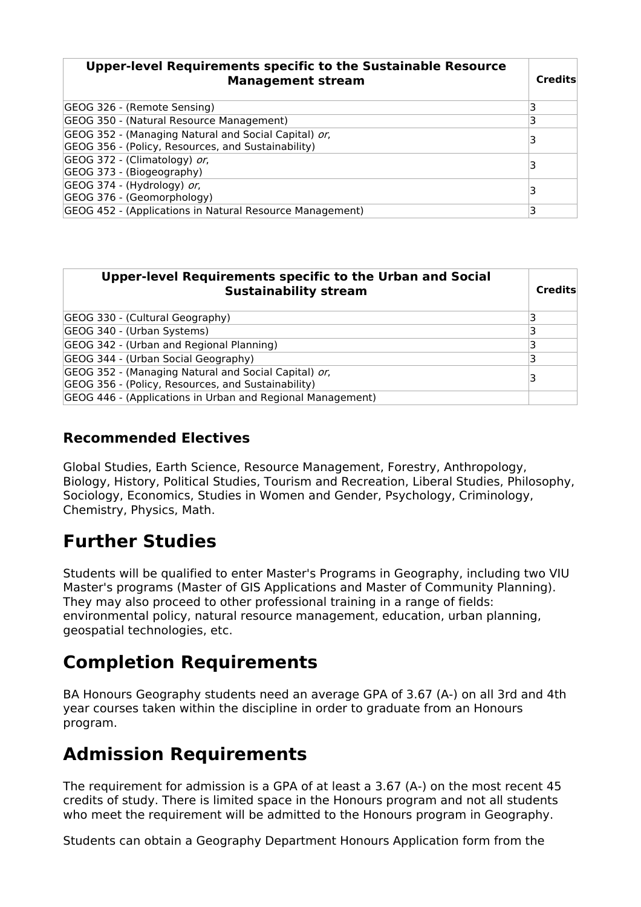| <b>Upper-level Requirements specific to the Sustainable Resource</b><br><b>Management stream</b>           | <b>Credits</b> |
|------------------------------------------------------------------------------------------------------------|----------------|
| GEOG 326 - (Remote Sensing)                                                                                |                |
| GEOG 350 - (Natural Resource Management)                                                                   | 3              |
| GEOG 352 - (Managing Natural and Social Capital) or,<br>GEOG 356 - (Policy, Resources, and Sustainability) |                |
| GEOG 372 - (Climatology) or,<br>GEOG 373 - (Biogeography)                                                  |                |
| GEOG 374 - (Hydrology) or,<br>GEOG 376 - (Geomorphology)                                                   |                |
| GEOG 452 - (Applications in Natural Resource Management)                                                   | 3              |

| Upper-level Requirements specific to the Urban and Social<br><b>Sustainability stream</b>                  | <b>Credits</b> |
|------------------------------------------------------------------------------------------------------------|----------------|
| GEOG 330 - (Cultural Geography)                                                                            |                |
| GEOG 340 - (Urban Systems)                                                                                 |                |
| GEOG 342 - (Urban and Regional Planning)                                                                   |                |
| GEOG 344 - (Urban Social Geography)                                                                        |                |
| GEOG 352 - (Managing Natural and Social Capital) or,<br>GEOG 356 - (Policy, Resources, and Sustainability) |                |
| GEOG 446 - (Applications in Urban and Regional Management)                                                 |                |

#### **Recommended Electives**

Global Studies, Earth Science, Resource Management, Forestry, Anthropology, Biology, History, Political Studies, Tourism and Recreation, Liberal Studies, Philosophy, Sociology, Economics, Studies in Women and Gender, Psychology, Criminology, Chemistry, Physics, Math.

### **Further Studies**

Students will be qualified to enter Master's Programs in Geography, including two VIU Master's programs (Master of GIS Applications and Master of Community Planning). They may also proceed to other professional training in a range of fields: environmental policy, natural resource management, education, urban planning, geospatial technologies, etc.

### **Completion Requirements**

BA Honours Geography students need an average GPA of 3.67 (A-) on all 3rd and 4th year courses taken within the discipline in order to graduate from an Honours program.

### **Admission Requirements**

The requirement for admission is a GPA of at least a 3.67 (A-) on the most recent 45 credits of study. There is limited space in the Honours program and not all students who meet the requirement will be admitted to the Honours program in Geography.

Students can obtain a Geography Department Honours Application form from the